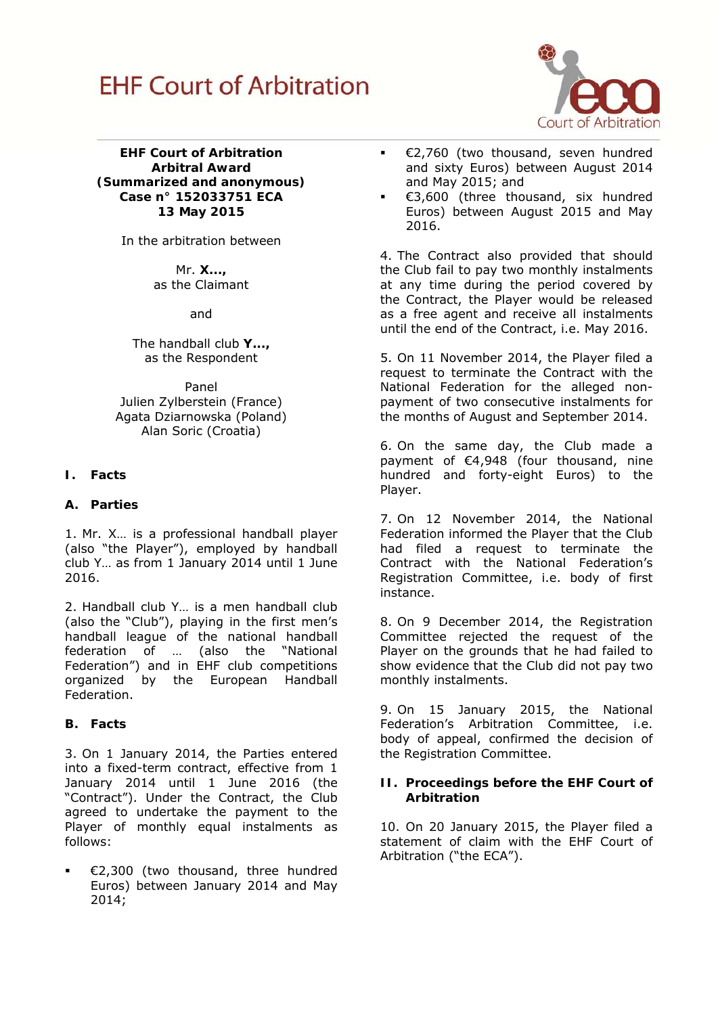

**EHF Court of Arbitration Arbitral Award (Summarized and anonymous) Case n° 152033751 ECA 13 May 2015** 

In the arbitration between

Mr. **X...,**  as the Claimant

and

The handball club **Y...,**  as the Respondent

Panel Julien Zylberstein (France) Agata Dziarnowska (Poland) Alan Soric (Croatia)

# **I. Facts**

### **A. Parties**

1. Mr. X… is a professional handball player (also "the Player"), employed by handball club Y… as from 1 January 2014 until 1 June 2016.

2. Handball club Y… is a men handball club (also the "Club"), playing in the first men's handball league of the national handball federation of … (also the "National Federation") and in EHF club competitions organized by the European Handball Federation.

#### **B. Facts**

3. On 1 January 2014, the Parties entered into a fixed-term contract, effective from 1 January 2014 until 1 June 2016 (the "Contract"). Under the Contract, the Club agreed to undertake the payment to the Player of monthly equal instalments as follows:

 €2,300 (two thousand, three hundred Euros) between January 2014 and May 2014;

- €2,760 (two thousand, seven hundred and sixty Euros) between August 2014 and May 2015; and
- €3,600 (three thousand, six hundred Euros) between August 2015 and May 2016.

4. The Contract also provided that should the Club fail to pay two monthly instalments at any time during the period covered by the Contract, the Player would be released as a free agent and receive all instalments until the end of the Contract, i.e. May 2016.

5. On 11 November 2014, the Player filed a request to terminate the Contract with the National Federation for the alleged nonpayment of two consecutive instalments for the months of August and September 2014.

6. On the same day, the Club made a payment of €4,948 (four thousand, nine hundred and forty-eight Euros) to the Player.

7. On 12 November 2014, the National Federation informed the Player that the Club had filed a request to terminate the Contract with the National Federation's Registration Committee, i.e. body of first instance.

8. On 9 December 2014, the Registration Committee rejected the request of the Player on the grounds that he had failed to show evidence that the Club did not pay two monthly instalments.

9. On 15 January 2015, the National Federation's Arbitration Committee, i.e. body of appeal, confirmed the decision of the Registration Committee.

#### **II. Proceedings before the EHF Court of Arbitration**

10. On 20 January 2015, the Player filed a statement of claim with the EHF Court of Arbitration ("the ECA").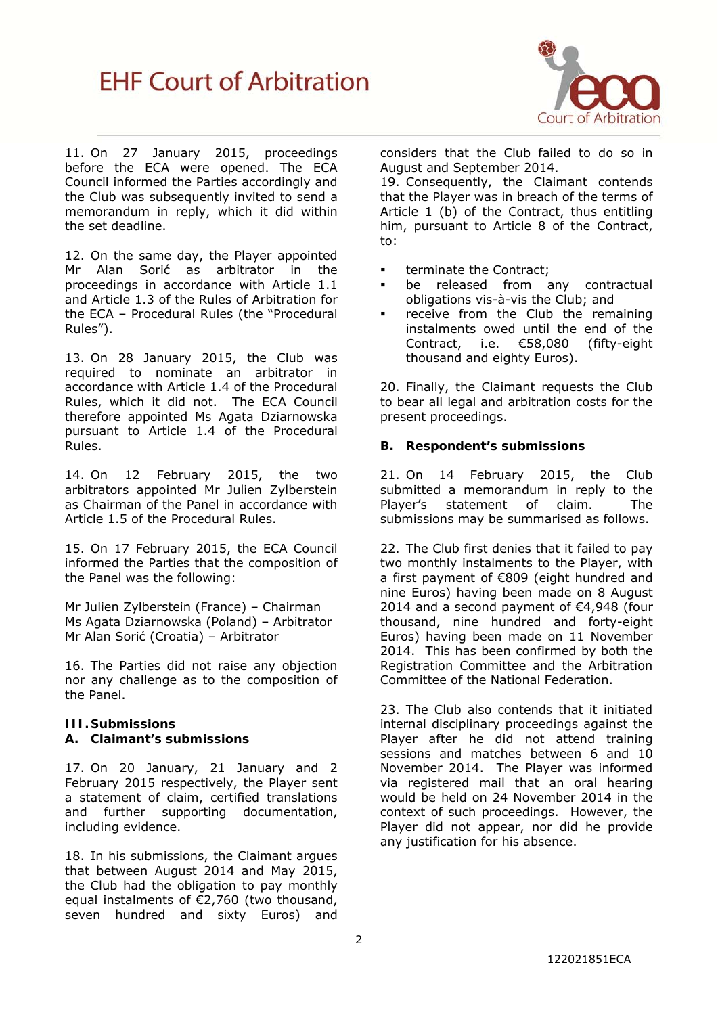

11. On 27 January 2015, proceedings before the ECA were opened. The ECA Council informed the Parties accordingly and the Club was subsequently invited to send a memorandum in reply, which it did within the set deadline.

12. On the same day, the Player appointed Mr Alan Sorić as arbitrator in the proceedings in accordance with Article 1.1 and Article 1.3 of the Rules of Arbitration for the ECA – Procedural Rules (the "Procedural Rules").

13. On 28 January 2015, the Club was required to nominate an arbitrator in accordance with Article 1.4 of the Procedural Rules, which it did not. The ECA Council therefore appointed Ms Agata Dziarnowska pursuant to Article 1.4 of the Procedural Rules.

14. On 12 February 2015, the two arbitrators appointed Mr Julien Zylberstein as Chairman of the Panel in accordance with Article 1.5 of the Procedural Rules.

15. On 17 February 2015, the ECA Council informed the Parties that the composition of the Panel was the following:

Mr Julien Zylberstein (France) – Chairman Ms Agata Dziarnowska (Poland) – Arbitrator Mr Alan Sorić (Croatia) – Arbitrator

16. The Parties did not raise any objection nor any challenge as to the composition of the Panel.

# **III.Submissions**

# **A. Claimant's submissions**

17. On 20 January, 21 January and 2 February 2015 respectively, the Player sent a statement of claim, certified translations and further supporting documentation, including evidence.

18. In his submissions, the Claimant argues that between August 2014 and May 2015, the Club had the obligation to pay monthly equal instalments of €2,760 (two thousand, seven hundred and sixty Euros) and

considers that the Club failed to do so in August and September 2014.

19. Consequently, the Claimant contends that the Player was in breach of the terms of Article 1 (b) of the Contract, thus entitling him, pursuant to Article 8 of the Contract, to:

- **terminate the Contract;**
- be released from any contractual obligations vis-à-vis the Club; and
- receive from the Club the remaining instalments owed until the end of the Contract, i.e. €58,080 (fifty-eight thousand and eighty Euros).

20. Finally, the Claimant requests the Club to bear all legal and arbitration costs for the present proceedings.

#### **B. Respondent's submissions**

21. On 14 February 2015, the Club submitted a memorandum in reply to the Player's statement of claim. The submissions may be summarised as follows.

22. The Club first denies that it failed to pay two monthly instalments to the Player, with a first payment of €809 (eight hundred and nine Euros) having been made on 8 August 2014 and a second payment of €4,948 (four thousand, nine hundred and forty-eight Euros) having been made on 11 November 2014. This has been confirmed by both the Registration Committee and the Arbitration Committee of the National Federation.

23. The Club also contends that it initiated internal disciplinary proceedings against the Player after he did not attend training sessions and matches between 6 and 10 November 2014. The Player was informed via registered mail that an oral hearing would be held on 24 November 2014 in the context of such proceedings. However, the Player did not appear, nor did he provide any justification for his absence.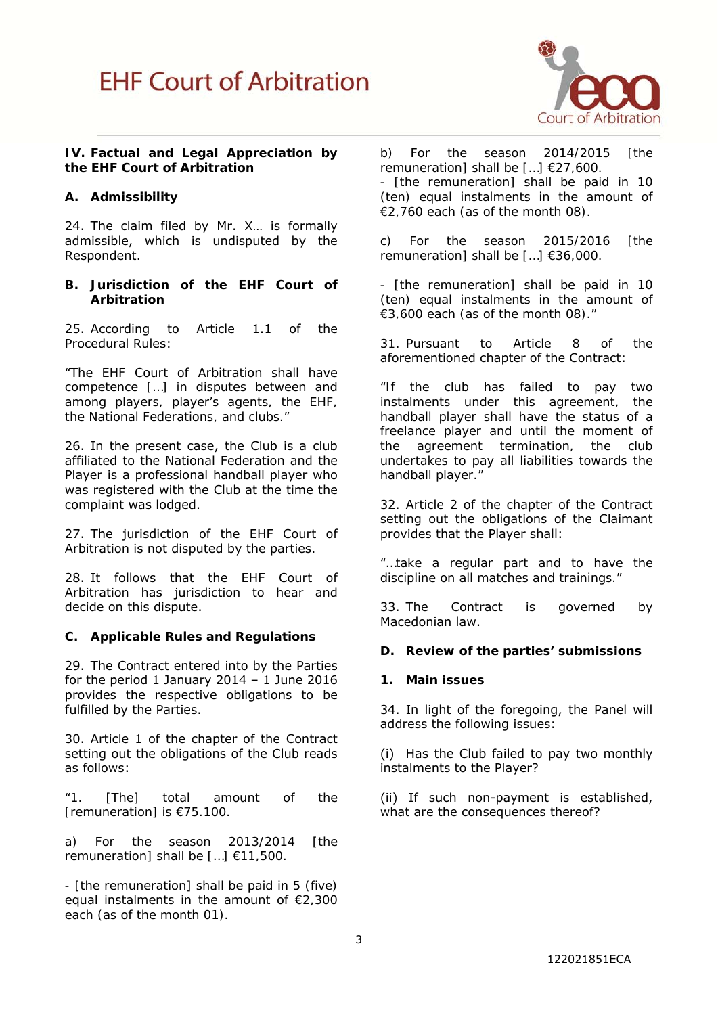

#### **IV. Factual and Legal Appreciation by the EHF Court of Arbitration**

## **A. Admissibility**

24. The claim filed by Mr. X… is formally admissible, which is undisputed by the Respondent.

#### **B. Jurisdiction of the EHF Court of Arbitration**

25. According to Article 1.1 of the Procedural Rules:

*"The EHF Court of Arbitration shall have competence […] in disputes between and among players, player's agents, the EHF, the National Federations, and clubs."*

26. In the present case, the Club is a club affiliated to the National Federation and the Player is a professional handball player who was registered with the Club at the time the complaint was lodged.

27. The jurisdiction of the EHF Court of Arbitration is not disputed by the parties.

28. It follows that the EHF Court of Arbitration has jurisdiction to hear and decide on this dispute.

#### **C. Applicable Rules and Regulations**

29. The Contract entered into by the Parties for the period 1 January 2014 - 1 June 2016 provides the respective obligations to be fulfilled by the Parties.

30. Article 1 of the chapter of the Contract setting out the obligations of the Club reads as follows:

*"1. [The] total amount of the [remuneration] is €75.100.* 

*a) For the season 2013/2014 [the remuneration] shall be […] €11,500.* 

*- [the remuneration] shall be paid in 5 (five) equal instalments in the amount of €2,300 each (as of the month 01).* 

*b) For the season 2014/2015 [the remuneration] shall be […] €27,600. - [the remuneration] shall be paid in 10 (ten) equal instalments in the amount of €2,760 each (as of the month 08).* 

*c) For the season 2015/2016 [the remuneration] shall be […] €36,000.* 

*- [the remuneration] shall be paid in 10 (ten) equal instalments in the amount of €3,600 each (as of the month 08)."* 

31. Pursuant to Article 8 of the aforementioned chapter of the Contract:

*"If the club has failed to pay two instalments under this agreement, the handball player shall have the status of a freelance player and until the moment of the agreement termination, the club undertakes to pay all liabilities towards the handball player."* 

32. Article 2 of the chapter of the Contract setting out the obligations of the Claimant provides that the Player shall:

*"…take a regular part and to have the discipline on all matches and trainings."* 

33. The Contract is governed by Macedonian law.

#### **D. Review of the parties' submissions**

#### **1. Main issues**

34. In light of the foregoing, the Panel will address the following issues:

(i) Has the Club failed to pay two monthly instalments to the Player?

(ii) If such non-payment is established, what are the consequences thereof?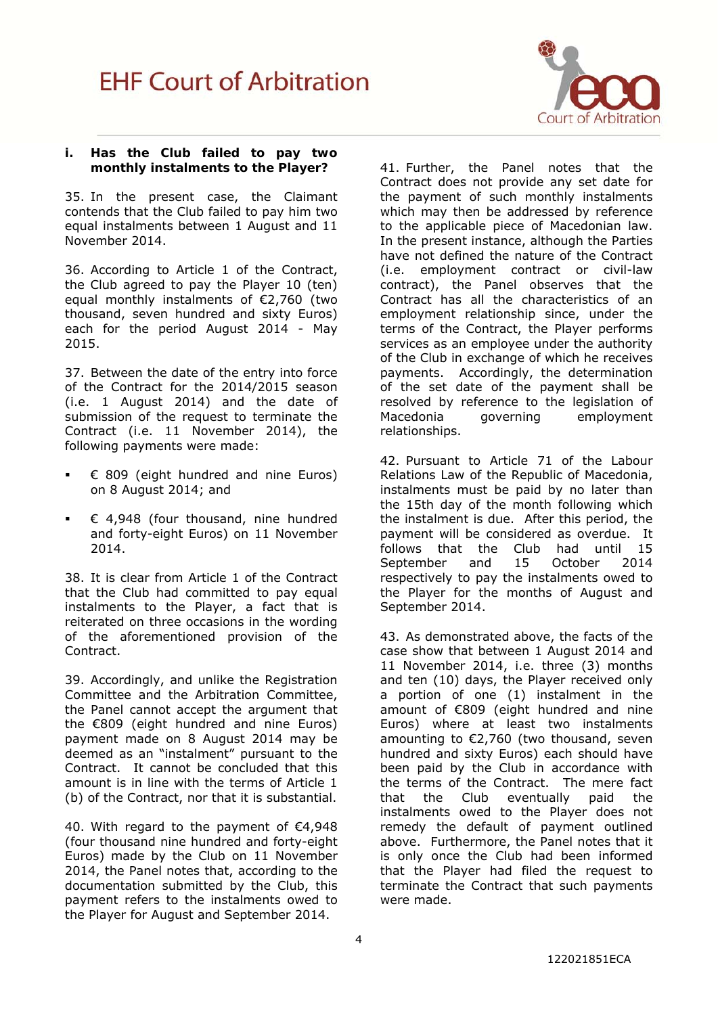

### **i. Has the Club failed to pay two monthly instalments to the Player?**

35. In the present case, the Claimant contends that the Club failed to pay him two equal instalments between 1 August and 11 November 2014.

36. According to Article 1 of the Contract, the Club agreed to pay the Player 10 (ten) equal monthly instalments of €2,760 (two thousand, seven hundred and sixty Euros) each for the period August 2014 - May 2015.

37. Between the date of the entry into force of the Contract for the 2014/2015 season (i.e. 1 August 2014) and the date of submission of the request to terminate the Contract (i.e. 11 November 2014), the following payments were made:

- € 809 (eight hundred and nine Euros) on 8 August 2014; and
- € 4,948 (four thousand, nine hundred and forty-eight Euros) on 11 November 2014.

38. It is clear from Article 1 of the Contract that the Club had committed to pay equal instalments to the Player, a fact that is reiterated on three occasions in the wording of the aforementioned provision of the Contract.

39. Accordingly, and unlike the Registration Committee and the Arbitration Committee, the Panel cannot accept the argument that the €809 (eight hundred and nine Euros) payment made on 8 August 2014 may be deemed as an "instalment" pursuant to the Contract. It cannot be concluded that this amount is in line with the terms of Article 1 (b) of the Contract, nor that it is substantial.

40. With regard to the payment of €4,948 (four thousand nine hundred and forty-eight Euros) made by the Club on 11 November 2014, the Panel notes that, according to the documentation submitted by the Club, this payment refers to the instalments owed to the Player for August and September 2014.

41. Further, the Panel notes that the Contract does not provide any set date for the payment of such monthly instalments which may then be addressed by reference to the applicable piece of Macedonian law. In the present instance, although the Parties have not defined the nature of the Contract (i.e. employment contract or civil-law contract), the Panel observes that the Contract has all the characteristics of an employment relationship since, under the terms of the Contract, the Player performs services as an employee under the authority of the Club in exchange of which he receives payments. Accordingly, the determination of the set date of the payment shall be resolved by reference to the legislation of Macedonia governing employment relationships.

42. Pursuant to Article 71 of the Labour Relations Law of the Republic of Macedonia, instalments must be paid by no later than the 15th day of the month following which the instalment is due. After this period, the payment will be considered as overdue. It follows that the Club had until 15 September and 15 October 2014 respectively to pay the instalments owed to the Player for the months of August and September 2014.

43. As demonstrated above, the facts of the case show that between 1 August 2014 and 11 November 2014, i.e. three (3) months and ten (10) days, the Player received only a portion of one (1) instalment in the amount of €809 (eight hundred and nine Euros) where at least two instalments amounting to €2,760 (two thousand, seven hundred and sixty Euros) each should have been paid by the Club in accordance with the terms of the Contract. The mere fact that the Club eventually paid the instalments owed to the Player does not remedy the default of payment outlined above. Furthermore, the Panel notes that it is only once the Club had been informed that the Player had filed the request to terminate the Contract that such payments were made.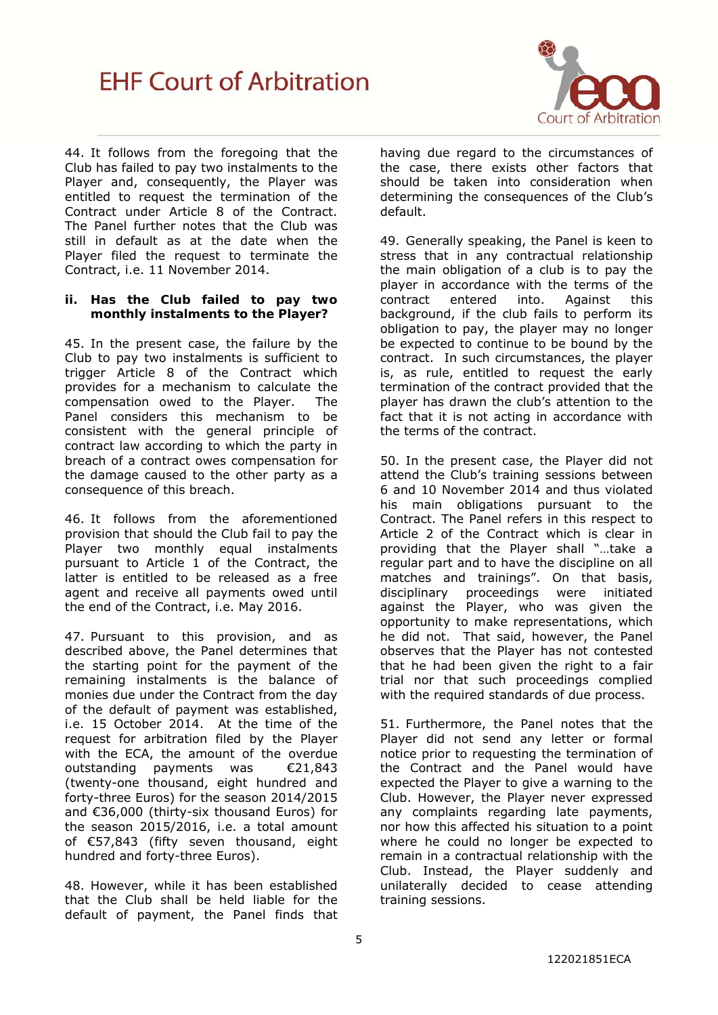

44. It follows from the foregoing that the Club has failed to pay two instalments to the Player and, consequently, the Player was entitled to request the termination of the Contract under Article 8 of the Contract. The Panel further notes that the Club was still in default as at the date when the Player filed the request to terminate the Contract, i.e. 11 November 2014.

#### **ii. Has the Club failed to pay two monthly instalments to the Player?**

45. In the present case, the failure by the Club to pay two instalments is sufficient to trigger Article 8 of the Contract which provides for a mechanism to calculate the compensation owed to the Player. The Panel considers this mechanism to be consistent with the general principle of contract law according to which the party in breach of a contract owes compensation for the damage caused to the other party as a consequence of this breach.

46. It follows from the aforementioned provision that should the Club fail to pay the Player two monthly equal instalments pursuant to Article 1 of the Contract, the latter is entitled to be released as a free agent and receive all payments owed until the end of the Contract, i.e. May 2016.

47. Pursuant to this provision, and as described above, the Panel determines that the starting point for the payment of the remaining instalments is the balance of monies due under the Contract from the day of the default of payment was established, i.e. 15 October 2014. At the time of the request for arbitration filed by the Player with the ECA, the amount of the overdue outstanding payments was €21,843 (twenty-one thousand, eight hundred and forty-three Euros) for the season 2014/2015 and €36,000 (thirty-six thousand Euros) for the season 2015/2016, i.e. a total amount of €57,843 (fifty seven thousand, eight hundred and forty-three Euros).

48. However, while it has been established that the Club shall be held liable for the default of payment, the Panel finds that having due regard to the circumstances of the case, there exists other factors that should be taken into consideration when determining the consequences of the Club's default.

49. Generally speaking, the Panel is keen to stress that in any contractual relationship the main obligation of a club is to pay the player in accordance with the terms of the contract entered into. Against this background, if the club fails to perform its obligation to pay, the player may no longer be expected to continue to be bound by the contract. In such circumstances, the player is, as rule, entitled to request the early termination of the contract provided that the player has drawn the club's attention to the fact that it is not acting in accordance with the terms of the contract.

50. In the present case, the Player did not attend the Club's training sessions between 6 and 10 November 2014 and thus violated his main obligations pursuant to the Contract. The Panel refers in this respect to Article 2 of the Contract which is clear in providing that the Player shall "…take a regular part and to have the discipline on all matches and trainings". On that basis, disciplinary proceedings were initiated against the Player, who was given the opportunity to make representations, which he did not. That said, however, the Panel observes that the Player has not contested that he had been given the right to a fair trial nor that such proceedings complied with the required standards of due process.

51. Furthermore, the Panel notes that the Player did not send any letter or formal notice prior to requesting the termination of the Contract and the Panel would have expected the Player to give a warning to the Club. However, the Player never expressed any complaints regarding late payments, nor how this affected his situation to a point where he could no longer be expected to remain in a contractual relationship with the Club. Instead, the Player suddenly and unilaterally decided to cease attending training sessions.